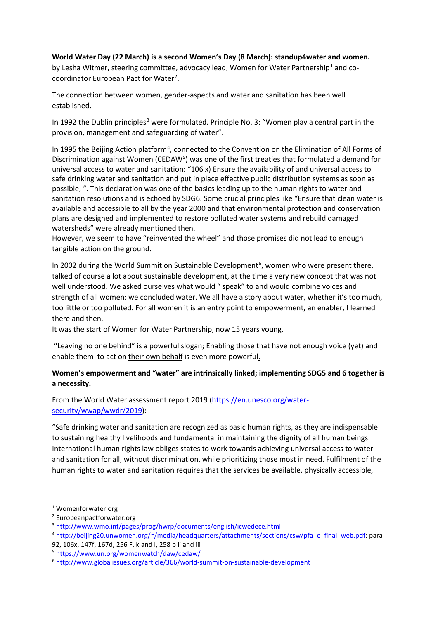## **World Water Day (22 March) is a second Women's Day (8 March): standup4water and women.**

by Lesha Witmer, steering committee, advocacy lead, Women for Water Partnership<sup>[1](#page-0-0)</sup> and cocoordinator European Pact for Water<sup>2</sup>.

The connection between women, gender-aspects and water and sanitation has been well established.

In 1992 the Dublin principles<sup>[3](#page-0-2)</sup> were formulated. Principle No. 3: "Women play a central part in the provision, management and safeguarding of water".

In 1995 the Beijing Action platform<sup>[4](#page-0-3)</sup>, connected to the Convention on the Elimination of All Forms of Discrimination against Women (CEDAW<sup>[5](#page-0-4)</sup>) was one of the first treaties that formulated a demand for universal access to water and sanitation: "106 x) Ensure the availability of and universal access to safe drinking water and sanitation and put in place effective public distribution systems as soon as possible; ". This declaration was one of the basics leading up to the human rights to water and sanitation resolutions and is echoed by SDG6. Some crucial principles like "Ensure that clean water is available and accessible to all by the year 2000 and that environmental protection and conservation plans are designed and implemented to restore polluted water systems and rebuild damaged watersheds" were already mentioned then.

However, we seem to have "reinvented the wheel" and those promises did not lead to enough tangible action on the ground.

In 2002 during the World Summit on Sustainable Development<sup>[6](#page-0-5)</sup>, women who were present there, talked of course a lot about sustainable development, at the time a very new concept that was not well understood. We asked ourselves what would " speak" to and would combine voices and strength of all women: we concluded water. We all have a story about water, whether it's too much, too little or too polluted. For all women it is an entry point to empowerment, an enabler, I learned there and then.

It was the start of Women for Water Partnership, now 15 years young.

"Leaving no one behind" is a powerful slogan; Enabling those that have not enough voice (yet) and enable them to act on their own behalf is even more powerful.

## **Women's empowerment and "water" are intrinsically linked; implementing SDG5 and 6 together is a necessity.**

From the World Water assessment report 2019 [\(https://en.unesco.org/water](https://en.unesco.org/water-security/wwap/wwdr/2019)[security/wwap/wwdr/2019\)](https://en.unesco.org/water-security/wwap/wwdr/2019):

"Safe drinking water and sanitation are recognized as basic human rights, as they are indispensable to sustaining healthy livelihoods and fundamental in maintaining the dignity of all human beings. International human rights law obliges states to work towards achieving universal access to water and sanitation for all, without discrimination, while prioritizing those most in need. Fulfilment of the human rights to water and sanitation requires that the services be available, physically accessible,

<span id="page-0-0"></span> <sup>1</sup> Womenforwater.org

<span id="page-0-1"></span><sup>2</sup> Europeanpactforwater.org

<span id="page-0-2"></span><sup>3</sup> <http://www.wmo.int/pages/prog/hwrp/documents/english/icwedece.html>

<span id="page-0-3"></span><sup>4</sup> [http://beijing20.unwomen.org/~/media/headquarters/attachments/sections/csw/pfa\\_e\\_final\\_web.pdf:](http://beijing20.unwomen.org/%7E/media/headquarters/attachments/sections/csw/pfa_e_final_web.pdf) para 92, 106x, 147f, 167d, 256 F, k and l, 258 b ii and iii

<span id="page-0-4"></span><sup>5</sup> <https://www.un.org/womenwatch/daw/cedaw/>

<span id="page-0-5"></span><sup>6</sup> <http://www.globalissues.org/article/366/world-summit-on-sustainable-development>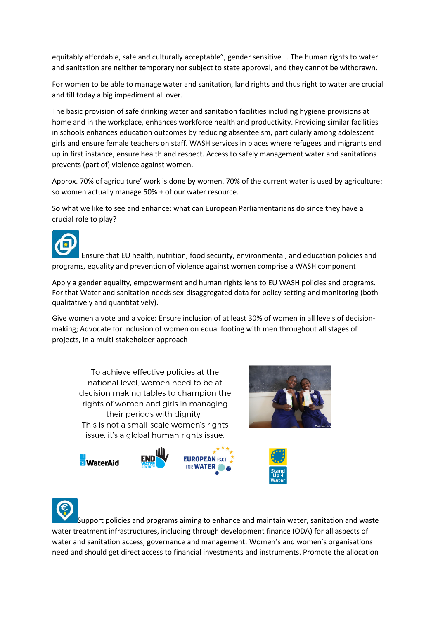equitably affordable, safe and culturally acceptable", gender sensitive … The human rights to water and sanitation are neither temporary nor subject to state approval, and they cannot be withdrawn.

For women to be able to manage water and sanitation, land rights and thus right to water are crucial and till today a big impediment all over.

The basic provision of safe drinking water and sanitation facilities including hygiene provisions at home and in the workplace, enhances workforce health and productivity. Providing similar facilities in schools enhances education outcomes by reducing absenteeism, particularly among adolescent girls and ensure female teachers on staff. WASH services in places where refugees and migrants end up in first instance, ensure health and respect. Access to safely management water and sanitations prevents (part of) violence against women.

Approx. 70% of agriculture' work is done by women. 70% of the current water is used by agriculture: so women actually manage 50% + of our water resource.

So what we like to see and enhance: what can European Parliamentarians do since they have a crucial role to play?



Ensure that EU health, nutrition, food security, environmental, and education policies and programs, equality and prevention of violence against women comprise a WASH component

Apply a gender equality, empowerment and human rights lens to EU WASH policies and programs. For that Water and sanitation needs sex-disaggregated data for policy setting and monitoring (both qualitatively and quantitatively).

Give women a vote and a voice: Ensure inclusion of at least 30% of women in all levels of decisionmaking; Advocate for inclusion of women on equal footing with men throughout all stages of projects, in a multi-stakeholder approach

To achieve effective policies at the national level, women need to be at decision making tables to champion the rights of women and girls in managing their periods with dignity. This is not a small-scale women's rights issue, it's a global human rights issue.











Support policies and programs aiming to enhance and maintain water, sanitation and waste water treatment infrastructures, including through development finance (ODA) for all aspects of water and sanitation access, governance and management. Women's and women's organisations need and should get direct access to financial investments and instruments. Promote the allocation